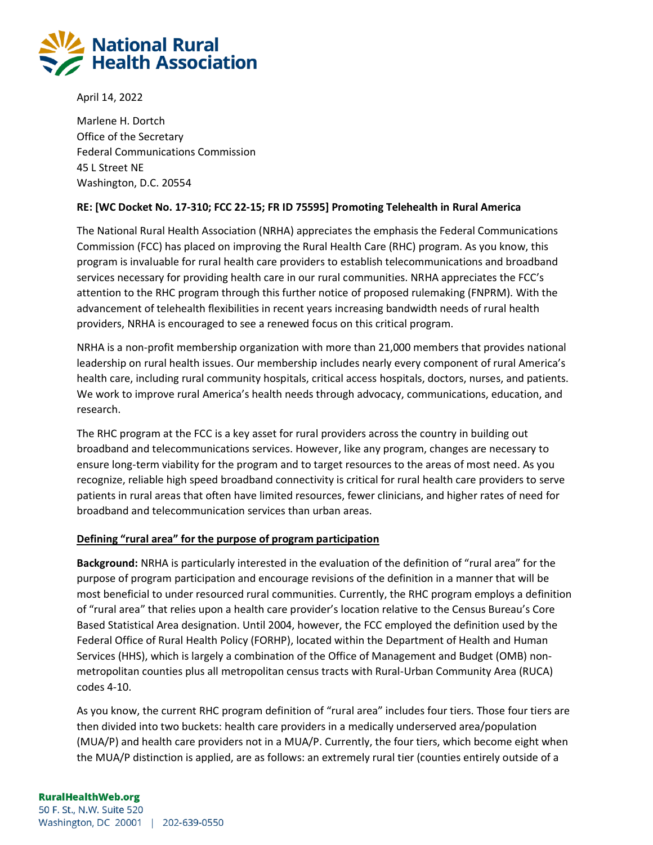

April 14, 2022

Marlene H. Dortch Office of the Secretary Federal Communications Commission 45 L Street NE Washington, D.C. 20554

### **RE: [WC Docket No. 17-310; FCC 22-15; FR ID 75595] Promoting Telehealth in Rural America**

The National Rural Health Association (NRHA) appreciates the emphasis the Federal Communications Commission (FCC) has placed on improving the Rural Health Care (RHC) program. As you know, this program is invaluable for rural health care providers to establish telecommunications and broadband services necessary for providing health care in our rural communities. NRHA appreciates the FCC's attention to the RHC program through this further notice of proposed rulemaking (FNPRM). With the advancement of telehealth flexibilities in recent years increasing bandwidth needs of rural health providers, NRHA is encouraged to see a renewed focus on this critical program.

NRHA is a non-profit membership organization with more than 21,000 members that provides national leadership on rural health issues. Our membership includes nearly every component of rural America's health care, including rural community hospitals, critical access hospitals, doctors, nurses, and patients. We work to improve rural America's health needs through advocacy, communications, education, and research.

The RHC program at the FCC is a key asset for rural providers across the country in building out broadband and telecommunications services. However, like any program, changes are necessary to ensure long-term viability for the program and to target resources to the areas of most need. As you recognize, reliable high speed broadband connectivity is critical for rural health care providers to serve patients in rural areas that often have limited resources, fewer clinicians, and higher rates of need for broadband and telecommunication services than urban areas.

### **Defining "rural area" for the purpose of program participation**

**Background:** NRHA is particularly interested in the evaluation of the definition of "rural area" for the purpose of program participation and encourage revisions of the definition in a manner that will be most beneficial to under resourced rural communities. Currently, the RHC program employs a definition of "rural area" that relies upon a health care provider's location relative to the Census Bureau's Core Based Statistical Area designation. Until 2004, however, the FCC employed the definition used by the Federal Office of Rural Health Policy (FORHP), located within the Department of Health and Human Services (HHS), which is largely a combination of the Office of Management and Budget (OMB) nonmetropolitan counties plus all metropolitan census tracts with Rural-Urban Community Area (RUCA) codes 4-10.

As you know, the current RHC program definition of "rural area" includes four tiers. Those four tiers are then divided into two buckets: health care providers in a medically underserved area/population (MUA/P) and health care providers not in a MUA/P. Currently, the four tiers, which become eight when the MUA/P distinction is applied, are as follows: an extremely rural tier (counties entirely outside of a

### **RuralHealthWeb.org**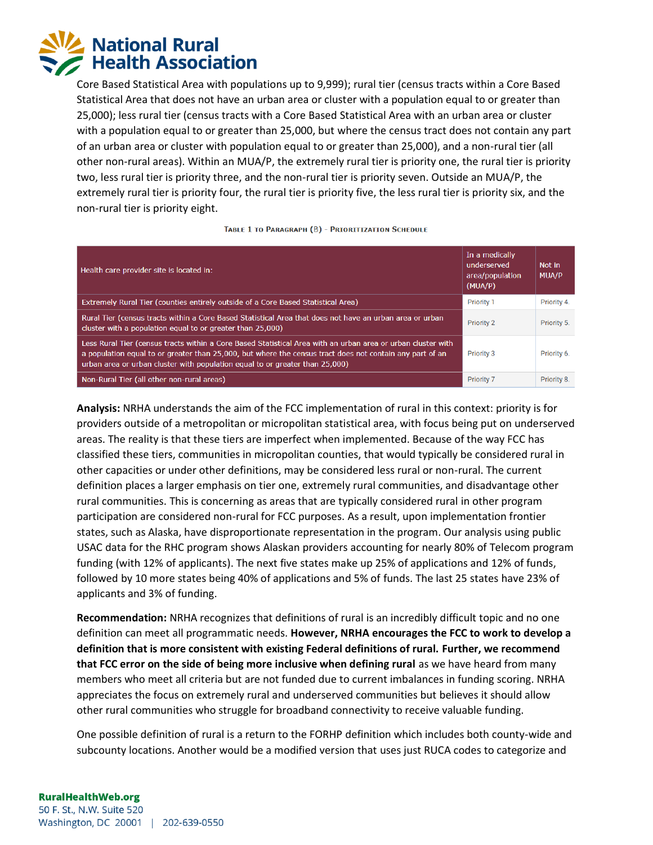

Core Based Statistical Area with populations up to 9,999); rural tier (census tracts within a Core Based Statistical Area that does not have an urban area or cluster with a population equal to or greater than 25,000); less rural tier (census tracts with a Core Based Statistical Area with an urban area or cluster with a population equal to or greater than 25,000, but where the census tract does not contain any part of an urban area or cluster with population equal to or greater than 25,000), and a non-rural tier (all other non-rural areas). Within an MUA/P, the extremely rural tier is priority one, the rural tier is priority two, less rural tier is priority three, and the non-rural tier is priority seven. Outside an MUA/P, the extremely rural tier is priority four, the rural tier is priority five, the less rural tier is priority six, and the non-rural tier is priority eight.

| Health care provider site is located in:                                                                                                                                                                                                                                                                 | In a medically<br>underserved<br>area/population<br>(MUA/P) | Not in<br><b>MUA/P</b> |
|----------------------------------------------------------------------------------------------------------------------------------------------------------------------------------------------------------------------------------------------------------------------------------------------------------|-------------------------------------------------------------|------------------------|
| Extremely Rural Tier (counties entirely outside of a Core Based Statistical Area)                                                                                                                                                                                                                        | <b>Priority 1</b>                                           | Priority 4.            |
| Rural Tier (census tracts within a Core Based Statistical Area that does not have an urban area or urban<br>cluster with a population equal to or greater than 25,000)                                                                                                                                   | <b>Priority 2</b>                                           | Priority 5.            |
| Less Rural Tier (census tracts within a Core Based Statistical Area with an urban area or urban cluster with<br>a population equal to or greater than 25,000, but where the census tract does not contain any part of an<br>urban area or urban cluster with population equal to or greater than 25,000) | <b>Priority 3</b>                                           | Priority 6.            |
| Non-Rural Tier (all other non-rural areas)                                                                                                                                                                                                                                                               | Priority 7                                                  | Priority 8.            |

#### TABLE 1 TO PARAGRAPH (B) - PRIORITIZATION SCHEDULE

**Analysis:** NRHA understands the aim of the FCC implementation of rural in this context: priority is for providers outside of a metropolitan or micropolitan statistical area, with focus being put on underserved areas. The reality is that these tiers are imperfect when implemented. Because of the way FCC has classified these tiers, communities in micropolitan counties, that would typically be considered rural in other capacities or under other definitions, may be considered less rural or non-rural. The current definition places a larger emphasis on tier one, extremely rural communities, and disadvantage other rural communities. This is concerning as areas that are typically considered rural in other program participation are considered non-rural for FCC purposes. As a result, upon implementation frontier states, such as Alaska, have disproportionate representation in the program. Our analysis using public USAC data for the RHC program shows Alaskan providers accounting for nearly 80% of Telecom program funding (with 12% of applicants). The next five states make up 25% of applications and 12% of funds, followed by 10 more states being 40% of applications and 5% of funds. The last 25 states have 23% of applicants and 3% of funding.

**Recommendation:** NRHA recognizes that definitions of rural is an incredibly difficult topic and no one definition can meet all programmatic needs. **However, NRHA encourages the FCC to work to develop a definition that is more consistent with existing Federal definitions of rural. Further, we recommend that FCC error on the side of being more inclusive when defining rural** as we have heard from many members who meet all criteria but are not funded due to current imbalances in funding scoring. NRHA appreciates the focus on extremely rural and underserved communities but believes it should allow other rural communities who struggle for broadband connectivity to receive valuable funding.

One possible definition of rural is a return to the FORHP definition which includes both county-wide and subcounty locations. Another would be a modified version that uses just RUCA codes to categorize and

#### **RuralHealthWeb.org**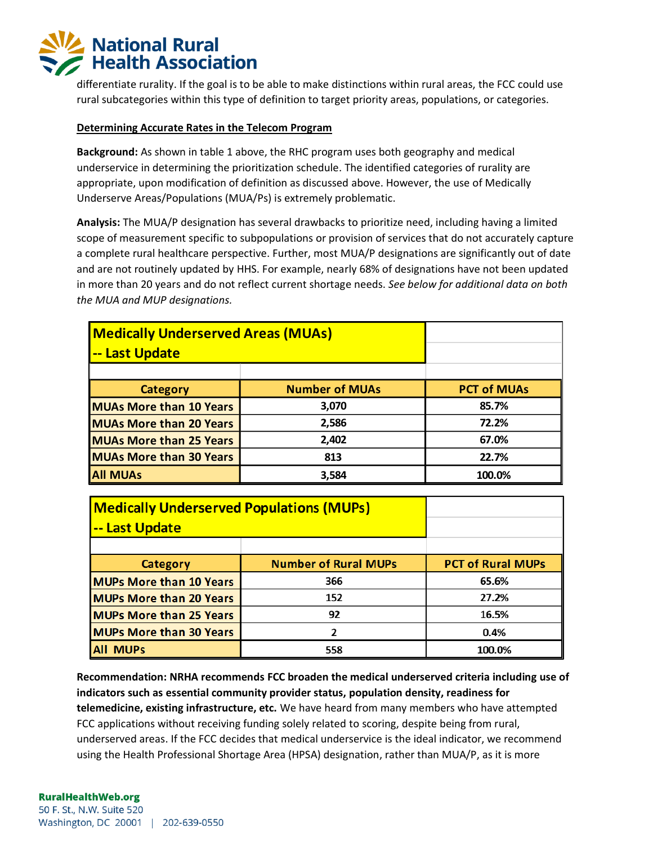# **National Rural Health Association**

differentiate rurality. If the goal is to be able to make distinctions within rural areas, the FCC could use rural subcategories within this type of definition to target priority areas, populations, or categories.

### **Determining Accurate Rates in the Telecom Program**

**Background:** As shown in table 1 above, the RHC program uses both geography and medical underservice in determining the prioritization schedule. The identified categories of rurality are appropriate, upon modification of definition as discussed above. However, the use of Medically Underserve Areas/Populations (MUA/Ps) is extremely problematic.

**Analysis:** The MUA/P designation has several drawbacks to prioritize need, including having a limited scope of measurement specific to subpopulations or provision of services that do not accurately capture a complete rural healthcare perspective. Further, most MUA/P designations are significantly out of date and are not routinely updated by HHS. For example, nearly 68% of designations have not been updated in more than 20 years and do not reflect current shortage needs. *See below for additional data on both the MUA and MUP designations.* 

| <b>Medically Underserved Areas (MUAs)</b><br>-- Last Update |                       |                    |
|-------------------------------------------------------------|-----------------------|--------------------|
| <b>Category</b>                                             | <b>Number of MUAs</b> | <b>PCT of MUAs</b> |
| <b>MUAs More than 10 Years</b>                              | 3,070                 | 85.7%              |
| <b>MUAs More than 20 Years</b>                              | 2,586                 | 72.2%              |
| <b>MUAs More than 25 Years</b>                              | 2,402                 | 67.0%              |
| <b>MUAs More than 30 Years</b>                              | 813                   | 22.7%              |
| <b>All MUAs</b>                                             | 3,584                 | 100.0%             |

| <b>Medically Underserved Populations (MUPs)</b><br><u> -- Last Update</u> |                             |                          |
|---------------------------------------------------------------------------|-----------------------------|--------------------------|
|                                                                           |                             |                          |
| Category                                                                  | <b>Number of Rural MUPs</b> | <b>PCT of Rural MUPs</b> |
| <b>MUPs More than 10 Years</b>                                            | 366                         | 65.6%                    |
| <b>MUPs More than 20 Years</b>                                            | 152                         | 27.2%                    |
| <b>MUPs More than 25 Years</b>                                            | 92                          | 16.5%                    |
| <b>MUPs More than 30 Years</b>                                            | 2                           | 0.4%                     |
| <b>All MUPs</b>                                                           | 558                         | 100.0%                   |

**Recommendation: NRHA recommends FCC broaden the medical underserved criteria including use of indicators such as essential community provider status, population density, readiness for telemedicine, existing infrastructure, etc.** We have heard from many members who have attempted FCC applications without receiving funding solely related to scoring, despite being from rural, underserved areas. If the FCC decides that medical underservice is the ideal indicator, we recommend using the Health Professional Shortage Area (HPSA) designation, rather than MUA/P, as it is more